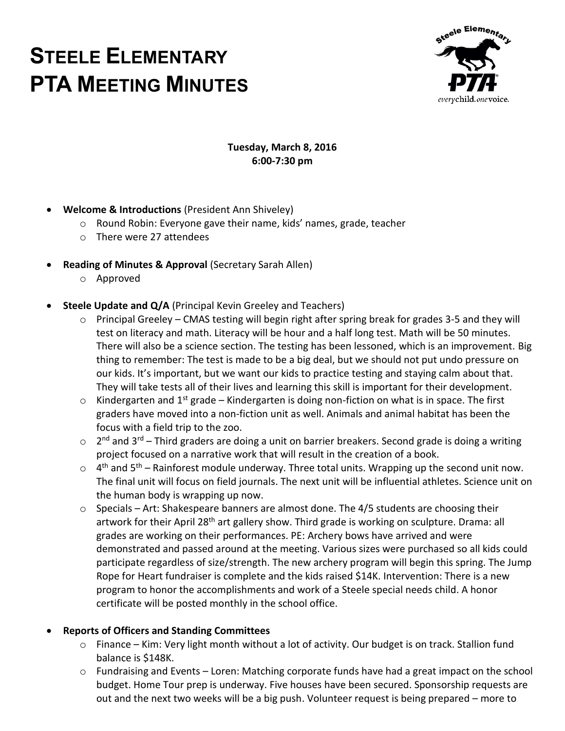# **STEELE ELEMENTARY PTA MEETING MINUTES**



## **Tuesday, March 8, 2016 6:00-7:30 pm**

- **Welcome & Introductions** (President Ann Shiveley)
	- o Round Robin: Everyone gave their name, kids' names, grade, teacher
	- o There were 27 attendees
- **Reading of Minutes & Approval** (Secretary Sarah Allen)
	- o Approved
- **Steele Update and Q/A** (Principal Kevin Greeley and Teachers)
	- o Principal Greeley CMAS testing will begin right after spring break for grades 3-5 and they will test on literacy and math. Literacy will be hour and a half long test. Math will be 50 minutes. There will also be a science section. The testing has been lessoned, which is an improvement. Big thing to remember: The test is made to be a big deal, but we should not put undo pressure on our kids. It's important, but we want our kids to practice testing and staying calm about that. They will take tests all of their lives and learning this skill is important for their development.
	- $\circ$  Kindergarten and 1<sup>st</sup> grade Kindergarten is doing non-fiction on what is in space. The first graders have moved into a non-fiction unit as well. Animals and animal habitat has been the focus with a field trip to the zoo.
	- $\circ$  2<sup>nd</sup> and 3<sup>rd</sup> Third graders are doing a unit on barrier breakers. Second grade is doing a writing project focused on a narrative work that will result in the creation of a book.
	- $\circ$  4<sup>th</sup> and 5<sup>th</sup> Rainforest module underway. Three total units. Wrapping up the second unit now. The final unit will focus on field journals. The next unit will be influential athletes. Science unit on the human body is wrapping up now.
	- $\circ$  Specials Art: Shakespeare banners are almost done. The 4/5 students are choosing their artwork for their April 28<sup>th</sup> art gallery show. Third grade is working on sculpture. Drama: all grades are working on their performances. PE: Archery bows have arrived and were demonstrated and passed around at the meeting. Various sizes were purchased so all kids could participate regardless of size/strength. The new archery program will begin this spring. The Jump Rope for Heart fundraiser is complete and the kids raised \$14K. Intervention: There is a new program to honor the accomplishments and work of a Steele special needs child. A honor certificate will be posted monthly in the school office.

# **Reports of Officers and Standing Committees**

- o Finance Kim: Very light month without a lot of activity. Our budget is on track. Stallion fund balance is \$148K.
- $\circ$  Fundraising and Events Loren: Matching corporate funds have had a great impact on the school budget. Home Tour prep is underway. Five houses have been secured. Sponsorship requests are out and the next two weeks will be a big push. Volunteer request is being prepared – more to